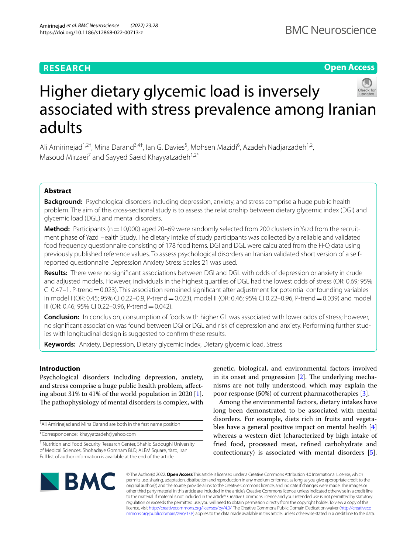# **RESEARCH**

**Open Access**

# Higher dietary glycemic load is inversely associated with stress prevalence among Iranian adults

Ali Amirinejad<sup>1,2†</sup>, Mina Darand<sup>3,4†</sup>, Ian G. Davies<sup>5</sup>, Mohsen Mazidi<sup>6</sup>, Azadeh Nadjarzadeh<sup>1,2</sup>, Masoud Mirzaei<sup>7</sup> and Sayyed Saeid Khayyatzadeh<sup>1,2\*</sup>

# **Abstract**

**Background:** Psychological disorders including depression, anxiety, and stress comprise a huge public health problem. The aim of this cross-sectional study is to assess the relationship between dietary glycemic index (DGI) and glycemic load (DGL) and mental disorders.

**Method:** Participants (n=10,000) aged 20–69 were randomly selected from 200 clusters in Yazd from the recruitment phase of Yazd Health Study. The dietary intake of study participants was collected by a reliable and validated food frequency questionnaire consisting of 178 food items. DGI and DGL were calculated from the FFQ data using previously published reference values. To assess psychological disorders an Iranian validated short version of a selfreported questionnaire Depression Anxiety Stress Scales 21 was used.

**Results:** There were no signifcant associations between DGI and DGL with odds of depression or anxiety in crude and adjusted models. However, individuals in the highest quartiles of DGL had the lowest odds of stress (OR: 0.69; 95% CI 0.47–1, P-trend=0.023). This association remained signifcant after adjustment for potential confounding variables in model I (OR: 0.45; 95% CI 0.22–0.9, P-trend=0.023), model II (OR: 0.46; 95% CI 0.22–0.96, P-trend=0.039) and model III (OR: 0.46; 95% CI 0.22–0.96, P-trend=0.042).

**Conclusion:** In conclusion, consumption of foods with higher GL was associated with lower odds of stress; however, no signifcant association was found between DGI or DGL and risk of depression and anxiety. Performing further studies with longitudinal design is suggested to confrm these results.

**Keywords:** Anxiety, Depression, Dietary glycemic index, Dietary glycemic load, Stress

# **Introduction**

Psychological disorders including depression, anxiety, and stress comprise a huge public health problem, afecting about 31% to 41% of the world population in 2020 [\[1](#page-8-0)]. The pathophysiology of mental disorders is complex, with

† Ali Amirinejad and Mina Darand are both in the frst name position

\*Correspondence: khayyatzadeh@yahoo.com

genetic, biological, and environmental factors involved in its onset and progression  $[2]$ . The underlying mechanisms are not fully understood, which may explain the poor response (50%) of current pharmacotherapies [[3\]](#page-8-2).

Among the environmental factors, dietary intakes have long been demonstrated to be associated with mental disorders. For example, diets rich in fruits and vegetables have a general positive impact on mental health [\[4](#page-8-3)] whereas a western diet (characterized by high intake of fried food, processed meat, refned carbohydrate and confectionary) is associated with mental disorders [\[5](#page-8-4)].



© The Author(s) 2022. **Open Access** This article is licensed under a Creative Commons Attribution 4.0 International License, which permits use, sharing, adaptation, distribution and reproduction in any medium or format, as long as you give appropriate credit to the original author(s) and the source, provide a link to the Creative Commons licence, and indicate if changes were made. The images or other third party material in this article are included in the article's Creative Commons licence, unless indicated otherwise in a credit line to the material. If material is not included in the article's Creative Commons licence and your intended use is not permitted by statutory regulation or exceeds the permitted use, you will need to obtain permission directly from the copyright holder. To view a copy of this licence, visit [http://creativecommons.org/licenses/by/4.0/.](http://creativecommons.org/licenses/by/4.0/) The Creative Commons Public Domain Dedication waiver ([http://creativeco](http://creativecommons.org/publicdomain/zero/1.0/) [mmons.org/publicdomain/zero/1.0/](http://creativecommons.org/publicdomain/zero/1.0/)) applies to the data made available in this article, unless otherwise stated in a credit line to the data.

<sup>&</sup>lt;sup>1</sup> Nutrition and Food Security Research Center, Shahid Sadoughi University of Medical Sciences, Shohadaye Gomnam BLD, ALEM Square, Yazd, Iran Full list of author information is available at the end of the article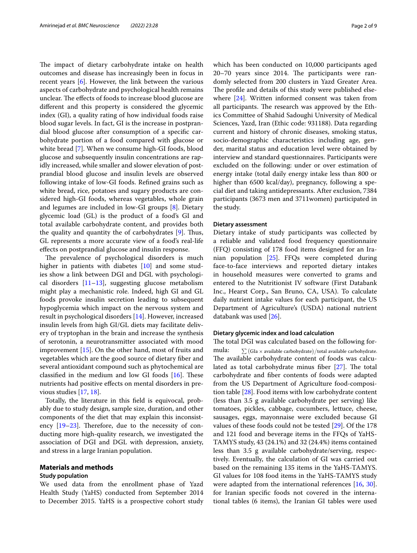The impact of dietary carbohydrate intake on health outcomes and disease has increasingly been in focus in recent years [[6\]](#page-8-5). However, the link between the various aspects of carbohydrate and psychological health remains unclear. The effects of foods to increase blood glucose are diferent and this property is considered the glycemic index (GI), a quality rating of how individual foods raise blood sugar levels. In fact, GI is the increase in postprandial blood glucose after consumption of a specifc carbohydrate portion of a food compared with glucose or white bread [[7\]](#page-8-6). When we consume high-GI foods, blood glucose and subsequently insulin concentrations are rapidly increased, while smaller and slower elevation of postprandial blood glucose and insulin levels are observed following intake of low-GI foods. Refned grains such as white bread, rice, potatoes and sugary products are considered high-GI foods, whereas vegetables, whole grain and legumes are included in low-GI groups [\[8](#page-8-7)]. Dietary glycemic load (GL) is the product of a food's GI and total available carbohydrate content, and provides both the quality and quantity the of carbohydrates  $[9]$  $[9]$ . Thus, GL represents a more accurate view of a food's real-life efects on postprandial glucose and insulin response.

The prevalence of psychological disorders is much higher in patients with diabetes [\[10](#page-8-9)] and some studies show a link between DGI and DGL with psychological disorders  $[11–13]$  $[11–13]$  $[11–13]$  $[11–13]$ , suggesting glucose metabolism might play a mechanistic role. Indeed, high GI and GL foods provoke insulin secretion leading to subsequent hypoglycemia which impact on the nervous system and result in psychological disorders [\[14](#page-8-12)]. However, increased insulin levels from high GI/GL diets may facilitate delivery of tryptophan in the brain and increase the synthesis of serotonin, a neurotransmitter associated with mood improvement [[15\]](#page-8-13). On the other hand, most of fruits and vegetables which are the good source of dietary fber and several antioxidant compound such as phytochemical are classified in the medium and low GI foods  $[16]$  $[16]$ . These nutrients had positive efects on mental disorders in previous studies [[17](#page-8-15), [18\]](#page-8-16).

Totally, the literature in this feld is equivocal, probably due to study design, sample size, duration, and other components of the diet that may explain this inconsistency  $[19-23]$  $[19-23]$  $[19-23]$ . Therefore, due to the necessity of conducting more high-quality research, we investigated the association of DGI and DGL with depression, anxiety, and stress in a large Iranian population.

## **Materials and methods**

# **Study population**

We used data from the enrollment phase of Yazd Health Study (YaHS) conducted from September 2014 to December 2015. YaHS is a prospective cohort study which has been conducted on 10,000 participants aged  $20-70$  years since  $2014$ . The participants were randomly selected from 200 clusters in Yazd Greater Area. The profile and details of this study were published elsewhere [\[24](#page-8-19)]. Written informed consent was taken from all participants. The research was approved by the Ethics Committee of Shahid Sadoughi University of Medical Sciences, Yazd, Iran (Ethic code: 931188). Data regarding current and history of chronic diseases, smoking status, socio-demographic characteristics including age, gender, marital status and education level were obtained by interview and standard questionnaires. Participants were excluded on the following: under or over estimation of energy intake (total daily energy intake less than 800 or higher than 6500 kcal/day), pregnancy, following a special diet and taking antidepressants. After exclusion, 7384 participants (3673 men and 3711women) participated in the study.

## **Dietary assessment**

Dietary intake of study participants was collected by a reliable and validated food frequency questionnaire (FFQ) consisting of 178 food items designed for an Iranian population [\[25](#page-8-20)]. FFQs were completed during face-to-face interviews and reported dietary intakes in household measures were converted to grams and entered to the Nutritionist IV software (First Databank Inc., Hearst Corp., San Bruno, CA, USA). To calculate daily nutrient intake values for each participant, the US Department of Agriculture's (USDA) national nutrient databank was used [[26\]](#page-8-21).

# **Dietary glycemic index and load calculation**

The total DGI was calculated based on the following formula:  $\sum$  (GIa  $\times$  available carbohydrate)/total available carbohydrate. The available carbohydrate content of foods was calculated as total carbohydrate minus fiber  $[27]$  $[27]$ . The total carbohydrate and fber contents of foods were adapted from the US Department of Agriculture food-composition table [[28\]](#page-8-23). Food items with low carbohydrate content (less than 3.5 g available carbohydrate per serving) like tomatoes, pickles, cabbage, cucumbers, lettuce, cheese, sausages, eggs, mayonnaise were excluded because GI values of these foods could not be tested [\[29\]](#page-8-24). Of the 178 and 121 food and beverage items in the FFQs of YaHS-TAMYS study, 43 (24.1%) and 32 (24.4%) items contained less than 3.5 g available carbohydrate/serving, respectively. Eventually, the calculation of GI was carried out based on the remaining 135 items in the YaHS-TAMYS. GI values for 108 food items in the YaHS-TAMYS study were adapted from the international references [[16,](#page-8-14) [30](#page-8-25)]. for Iranian specifc foods not covered in the international tables (6 items), the Iranian GI tables were used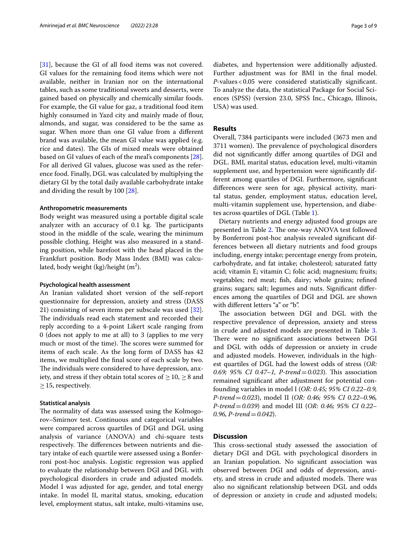[[31\]](#page-8-26), because the GI of all food items was not covered. GI values for the remaining food items which were not available, neither in Iranian nor on the international tables, such as some traditional sweets and desserts, were gained based on physically and chemically similar foods. For example, the GI value for gaz, a traditional food item highly consumed in Yazd city and mainly made of flour, almonds, and sugar, was considered to be the same as sugar. When more than one GI value from a diferent brand was available, the mean GI value was applied (e.g. rice and dates). The GIs of mixed meals were obtained based on GI values of each of the meal's components [\[28](#page-8-23)]. For all derived GI values, glucose was used as the reference food. Finally, DGL was calculated by multiplying the dietary GI by the total daily available carbohydrate intake and dividing the result by 100 [[28\]](#page-8-23).

# **Anthropometric measurements**

Body weight was measured using a portable digital scale analyzer with an accuracy of  $0.1$  kg. The participants stood in the middle of the scale, wearing the minimum possible clothing. Height was also measured in a standing position, while barefoot with the head placed in the Frankfurt position. Body Mass Index (BMI) was calculated, body weight (kg)/height (m $^2$ ).

#### **Psychological health assessment**

An Iranian validated short version of the self-report questionnaire for depression, anxiety and stress (DASS 21) consisting of seven items per subscale was used [\[32](#page-8-27)]. The individuals read each statement and recorded their reply according to a 4-point Likert scale ranging from 0 (does not apply to me at all) to 3 (applies to me very much or most of the time). The scores were summed for items of each scale. As the long form of DASS has 42 items, we multiplied the fnal score of each scale by two. The individuals were considered to have depression, anxiety, and stress if they obtain total scores of  $\geq 10$ ,  $\geq 8$  and  $\geq$  15, respectively.

# **Statistical analysis**

The normality of data was assessed using the Kolmogorov–Smirnov test. Continuous and categorical variables were compared across quartiles of DGI and DGL using analysis of variance (ANOVA) and chi-square tests respectively. The differences between nutrients and dietary intake of each quartile were assessed using a Bonferroni post-hoc analysis. Logistic regression was applied to evaluate the relationship between DGI and DGL with psychological disorders in crude and adjusted models. Model I was adjusted for age, gender, and total energy intake. In model II, marital status, smoking, education level, employment status, salt intake, multi-vitamins use, diabetes, and hypertension were additionally adjusted. Further adjustment was for BMI in the final model. *P*-values<0.05 were considered statistically signifcant. To analyze the data, the statistical Package for Social Sciences (SPSS) (version 23.0, SPSS Inc., Chicago, Illinois, USA) was used.

# **Results**

Overall, 7384 participants were included (3673 men and 3711 women). The prevalence of psychological disorders did not signifcantly difer among quartiles of DGI and DGL. BMI, marital status, education level, multi-vitamin supplement use, and hypertension were signifcantly different among quartiles of DGI. Furthermore, signifcant diferences were seen for age, physical activity, marital status, gender, employment status, education level, multi-vitamin supplement use, hypertension, and diabetes across quartiles of DGL (Table [1](#page-3-0)).

Dietary nutrients and energy adjusted food groups are presented in Table [2](#page-5-0). The one-way ANOVA test followed by Bonferroni post-hoc analysis revealed signifcant differences between all dietary nutrients and food groups including, energy intake; percentage energy from protein, carbohydrate, and fat intake; cholesterol; saturated fatty acid; vitamin E; vitamin C; folic acid; magnesium; fruits; vegetables; red meat; fsh, dairy; whole grains; refned grains; sugars; salt; legumes and nuts. Signifcant diferences among the quartiles of DGI and DGL are shown with diferent letters "a" or "b".

The association between DGI and DGL with the respective prevalence of depression, anxiety and stress in crude and adjusted models are presented in Table [3](#page-6-0). There were no significant associations between DGI and DGL with odds of depression or anxiety in crude and adjusted models. However, individuals in the highest quartiles of DGL had the lowest odds of stress (*OR: 0.69; 95% CI 0.47–1, P-trend* = 0.023). This association remained signifcant after adjustment for potential confounding variables in model I (*OR: 0.45; 95% CI 0.22–0.9, P-trend*=*0.023*), model II (*OR: 0.46; 95% CI 0.22–0.96, P-trend*=*0.039*) and model III (*OR: 0.46; 95% CI 0.22– 0.96, P-trend*=*0.042*).

## **Discussion**

This cross-sectional study assessed the association of dietary DGI and DGL with psychological disorders in an Iranian population. No signifcant association was observed between DGI and odds of depression, anxiety, and stress in crude and adjusted models. There was also no signifcant relationship between DGL and odds of depression or anxiety in crude and adjusted models;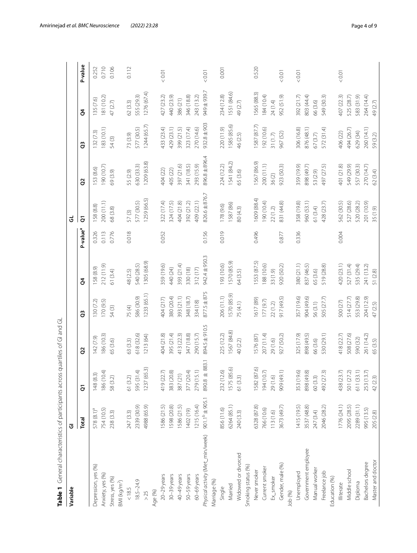| Variable                         | ত                         |                                      |             |             |             |                      | ತ              |               |                 |             |         |
|----------------------------------|---------------------------|--------------------------------------|-------------|-------------|-------------|----------------------|----------------|---------------|-----------------|-------------|---------|
|                                  | Total                     | $\overline{c}$                       | 8           | ဗိ          | ð           | P-value <sup>a</sup> | $\overline{c}$ | 8             | 3               | ð.          | P-value |
| Depression, yes (%)              | 578(8.1) <sup>a</sup>     | 148(8.3)                             | 142 (7.9)   | 130(7.2)    | 158 (8.9)   | 0.326                | 158 (8.8)      | 153 (8.6)     | 132(7.3)        | 35 (7.6)    | 0.252   |
| Anxiety, yes (%)                 | 754 (10.5)                | 186 (10.4)                           | 186 (10.3)  | 170 (9.5)   | 212 (11.9)  | 0.113                | 200 (11.1)     | 190 (10.7)    | 183(10.1)       | 81(10.2)    | 0.710   |
| Stress, yes (%)                  | 238 (3.3)                 | 58 (3.2)                             | 65 (3.6)    | 54(3)       | 61 (3.4)    | 0.776                | 68 (3.8)       | 69 (3.9)      | 54(3)           | 47(2.7)     | 0.106   |
| BMI(kg/m <sup>2</sup> )          |                           |                                      |             |             |             |                      |                |               |                 |             |         |
| $<18.5$                          | 247(3.3)                  | 61 (3.2)                             | 63 (3.3)    | 75(4)       | 48 (2.5)    | 0.018                | 57(3)          | 55 (2.9)      | 73 (3.9)        | 62 (3.3)    | 0.112   |
| $18.5 - 24.9$                    | 2339 (30.9)               | 595 (31.4)                           | 618 (32.6)  | 586 (30.9)  | 540 (28.5)  |                      | 577 (30.5)     | 630 (33.3)    | 577 (30.5)      | 555 (29.3)  |         |
| $>25$                            | 4988 (65.9)               | 1237 (65.3)                          | 1213 (64)   | 1233 (65.1) | 1305 (68.9) |                      | 1259 (66.5)    | 1209 (63.8)   | 1244 (65.7)     | 1276 (67.4) |         |
| Age (%)                          |                           |                                      |             |             |             |                      |                |               |                 |             |         |
| $20-29$ years                    | 1586 (21.5)               | 419 (22.7)                           | 404 (21.8)  | 404 (217)   | 359 (19.6)  | 0.052                | 322 (17.4)     | 404 (22)      | 433 (23.4)      | 427 (23.2)  | 0.01    |
| $30-39$ years                    | 1598 (20.8)               | 383 (20.8)                           | 395 (21.4)  | 380 (20.4)  | 440 (24)    |                      | 324 (17.5)     | 405 (22)      | 429 (23.1)      | 440 (23.9)  |         |
| 40-49 years                      | 1586 (21.5)               | 387 (21)                             | 413 (22.3)  | 393 (21.1)  | 393 (21.4)  |                      | 404 (21.8)     | 397 (21.6)    | 399 (21.5)      | 386(21)     |         |
| 50-59 years                      | 1402 (19)                 | 377 (20.4)                           | 347 (18.8)  | 348 (18.7)  | 330 (18)    |                      | 392 (21.2)     | 341 (18.5)    | 323 (17.4)      | 346 (18.8)  |         |
| $60-69$ years                    | 1215 (16.4)               | 279 (15.1)                           | 290 (15.7)  | 334 (18)    | 312(17)     |                      | 409 (22.1)     | 293 (15.9)    | 270 (14.6)      | 243 (13.2)  |         |
| Physical activity (Met_min/week) | 901.1 <sup>b</sup> ±905.1 | 883.1<br>890.8 ±                     | 894.5±910.5 | 877.5 ± 875 | 942.4±950.3 | 0.156                | 826.6 ± 876.7  | 896.8 ± 896.4 | $932.8 \pm 903$ | 949 ± 939.7 | 0.01    |
| Marriage (%)                     |                           |                                      |             |             |             |                      |                |               |                 |             |         |
| Single                           | 856 (11.6)                | 232 (12.6)                           | 225 (12.2)  | 206 (11.1)  | 193 (10.6)  | 0.019                | 178 (9.6)      | 224 (12.2)    | 220 (11.9)      | 234 (12.8)  | 0.001   |
| Married                          | 6264 (85.1)               | 1575 (85.6)                          | 1567 (84.8) | 1570 (85.9) | 1570 (85.9) |                      | 1587 (86)      | 1541 (84.2)   | 1585 (85.6)     | 1551 (84.6) |         |
| Widowed or divorced              | 240 (3.3)                 | 61 (3.3)                             | 40 (2.2)    | 75 (4.1)    | 64 (3.5)    |                      | 80(4.3)        | 65 (3.6)      | 46 (2.5)        | 49 (2.7)    |         |
| Smoking status (%)               |                           |                                      |             |             |             |                      |                |               |                 |             |         |
| Never smoker                     | 6328 (87.8)               | 1582 (87.6)                          | 1576 (87)   | (68) 1191   | 1553 (87.5) | 0.496                | 1609 (88.4)    | 1567 (86.9)   | 1587 (87.7)     | 1565 (88.3) | 0.520   |
| Current smoker                   | 766 (10.6)                | 194 (10.7)                           | 207 (11.4)  | 177 (9.7)   | (9.01) 881  |                      | 190 (10.4)     | 200 (11.1)    | 192 (10.6)      | 184 (10.4)  |         |
| Ex_smoker                        | 113 (1.6)                 | 29(1.6)                              | 29 (1.6)    | 22(1.2)     | 33 (1.9)    |                      | 22(1.2)        | $36(2)$       | 31(1.7)         | 24 (1.4)    |         |
| Gender, male (%)                 | 3673 (49.7)               | 909 (49.1)                           | 927 (50.2)  | 917 (49.5)  | 920 (50.2)  | 0.877                | 831 (44.8)     | 923 (50.3)    | 967 (52)        | 952 (51.9)  | 0.01    |
| Job (%)                          |                           |                                      |             |             |             |                      |                |               |                 |             |         |
| Unemployed                       | 1415 (195)                | 353 (19.6)                           | 325 (17.9)  | 357 (19.6)  | 380 (21.1)  | 0.336                | 358 (19.8)     | 359 (19.9)    | 306 (16.8)      | 392 (21.7)  | < 0.01  |
| Government employee              | 3537 (48.8)               | 898 (49.8)                           | 898 (49.5)  | 904 (49.6)  | 837 (46.5)  |                      | 360 (53.1)     | 898 (49.7)    | 876 (48.1)      | 803 (44.4)  |         |
| Manual worker                    | 247 (3.4)                 | 60 (3.3)                             | 66 (3.6)    | 56 (3.1)    | 65 (3.6)    |                      | 61 (3.4)       | 53 (2.9)      | 67(3.7)         | 66 (3.6)    |         |
| Freelance job                    | 2046 (28.2)               | $\widehat{\mathfrak{m}}$<br>492 (27. | 530 (29.1)  | 505 (27.7)  | 519 (28.8)  |                      | 428 (23.7)     | 497 (27.5)    | 572 (31.4)      | 549 (30.3)  |         |
| Education (%)                    |                           |                                      |             |             |             |                      |                |               |                 |             |         |
| Illiterate                       | 1776 (24.1)               | 438 (23.7)                           | 418 (22.7)  | 500 (27)    | 420 (23.1)  | 0.004                | 562 (30.5)     | 401 (21.8)    | 406 (22)        | 407 (22.3)  | 0.01    |
| Middle school                    | 2095 (28.5)               | 501 (27.2)                           | 508 (27.6)  | 514 (27.7)  | 527 (31.4)  |                      | 527 (28.6)     | 549 (29.9)    | 494 (26.7)      | 525 (28.7)  |         |
| Diploma                          | 2289 (31.1)               | 611 (33.1)<br>253 (13.7)             | 590 (32)    | 553 (29.8)  | 535 (29.4)  |                      | 520 (28.2)     | 557 (30.3)    | 629 (34)        | 583 (31.9)  |         |
| Bachelors degree                 | 995 (13.5)                |                                      | 261 (14.2)  | 204 (12.9)  | 241 (13.2)  |                      | 201 (10.9)     | 270 (14.7)    | 260 (14.1)      | 264 (14.4)  |         |
| Master and doctor                | 205 (2.8)                 | 42 (2.3)                             | 65 (3.5)    | 47 (2.5)    | 51 (2.8)    |                      | 35(1.9)        | 62 (3.4)      | 59 (3.2)        | 49 (2.7)    |         |

<span id="page-3-0"></span>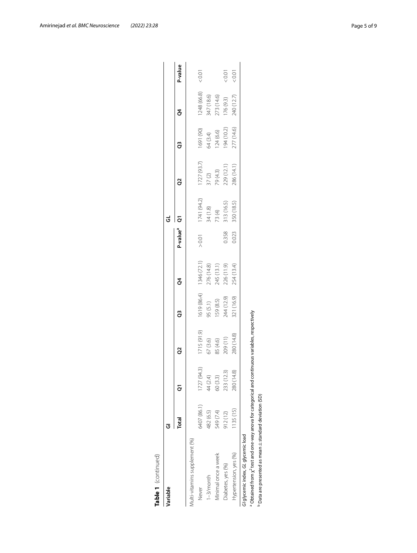| Variable                                                                                                          | Ū           |               |             |             |                                        |                      | ತ                  |                                  |                                     |                          |         |
|-------------------------------------------------------------------------------------------------------------------|-------------|---------------|-------------|-------------|----------------------------------------|----------------------|--------------------|----------------------------------|-------------------------------------|--------------------------|---------|
|                                                                                                                   | Total       |               |             | ã           |                                        | P-value <sup>a</sup> |                    |                                  |                                     |                          | P-value |
| /lulti-vitamins supplement (%)                                                                                    |             |               |             |             |                                        |                      |                    |                                  |                                     |                          |         |
| Never                                                                                                             | 6407 (86.1) | 1727 (94.3)   | 1715 (91.9) | 1619 (86.4) | 1346 (72.1)                            | $>0.01$              | 1741 (94.2)        | 1727(93.7)                       | 1691 (90)                           | 1248 (66.8)              | 0.01    |
| $1 - 3/m$ onth                                                                                                    | 482 (6.5)   | 44 (2.4)      | 67 (3.6)    | 95 (5.1)    |                                        |                      |                    |                                  |                                     |                          |         |
| Minimal once a week                                                                                               | 549 (7.4)   | 60 (3.3)      | 85 (4.6)    | 159 (8.5)   |                                        |                      | 34 (1.8)<br>73 (4) |                                  | 64 (3.4)<br>124 (6.6)<br>194 (10.2) | 347 (18.6)<br>273 (14.6) |         |
| Diabetes, yes (%)                                                                                                 | 912(12)     | 233 (12.3)    | 209 (11)    | 244 (12.9)  | 276 (14.8)<br>245 (13.1)<br>226 (11.9) | 0.358                | 313 (16.5)         | 37 (2)<br>79 (4.3)<br>229 (12.1) |                                     | 176 (9.3)                | (0.01)  |
| Hypertension, yes (%)                                                                                             | 1135 (15)   | කු<br>280 (14 | 280 (14.8)  | 821 (16.9)  | 254 (13.4)                             | 0.023                | 350 (18.5)         | 286 (14.1)                       | 277 (14.6)                          | 240 (12.7)               | 50.01   |
| G/ glycemic index, GL glycemic load                                                                               |             |               |             |             |                                        |                      |                    |                                  |                                     |                          |         |
| <sup>a</sup> Obtained from $\chi^2$ test and one-way anova for categorical and continuous variables, respectively |             |               |             |             |                                        |                      |                    |                                  |                                     |                          |         |
| $P$ Data are presented as mean $\pm$ standard deviation (SD)                                                      |             |               |             |             |                                        |                      |                    |                                  |                                     |                          |         |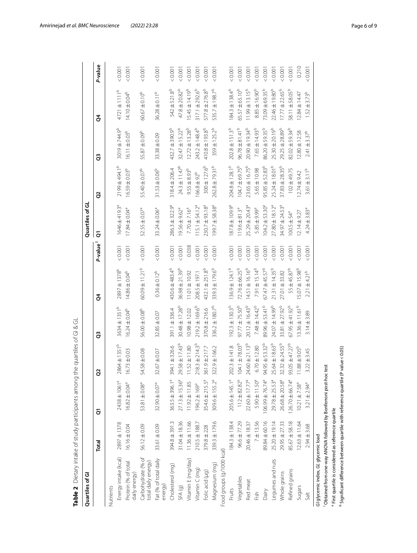| Quartiles of Gl                           |                   |                                |                            |                            |                            |         | Quartiles of GL                |                           |                            |                              |         |
|-------------------------------------------|-------------------|--------------------------------|----------------------------|----------------------------|----------------------------|---------|--------------------------------|---------------------------|----------------------------|------------------------------|---------|
|                                           | Total             | ā                              | S                          | G                          | ğ                          | P-value | ō                              | 8                         | G                          | ð                            | P-value |
| Nutrients                                 |                   |                                |                            |                            |                            |         |                                |                           |                            |                              |         |
| Energy intake (kcal)                      | 2897±1378         | 2438 ± 1061 <sup>ª</sup>       | $\circ$<br>2864±1351       | 3634±1351 <sup>b</sup>     | 2897±1378 <sup>b</sup>     | 0.001   | 1646±419.3ª                    | 2199 ±494.1 <sup>b</sup>  | 3019王744.9 <sup>b</sup>    | $4721 \pm 1111$ <sup>b</sup> | 0.001   |
| Protein (% of total<br>daily energy)      | $16.16 \pm 0.04$  | $16.82 \pm 0.04^a$             | $16.73 \pm 0.03$           | $16.24 \pm 0.04^{b}$       | $14.86 \pm 0.04^{b}$       | 0.001   | $17.84 \pm 0.04$ <sup>a</sup>  | $16.59 \pm 0.03^{b}$      | $16.11 \pm 0.03^{b}$       | $14.10 \pm 0.04^{b}$         | 0.001   |
| Carbohydrate (% of<br>total daily energy) | 56.12±0.09        | 53.81 ± 0.08 <sup>a</sup>      | 54.58 ± 0.08               | 56.00 ± 0.08 <sup>b</sup>  | $60.09 \pm 11.21^{\circ}$  | 0.001   | 52.55 ± 0.07 <sup>a</sup>      | 55.40 ± 0.07 <sup>b</sup> | 55.87±0.09 <sup>b</sup>    | $60.67 + 0.10^{6}$           | 0.001   |
| Fat (% of total daily<br>energy)          | 33.61±0.09        | $32.90 \pm 0.07$ <sup>a</sup>  | 32.67±0.07                 | $32.85 \pm 0.07$           | $0.36 \pm 0.12^{b}$        | 0.001   | $33.24 \pm 0.06^a$             | $31.53 \pm 0.06^{b}$      | 33.38±0.09                 | $36.28 \pm 0.11^{b}$         | 0.001   |
| Cholesterol (mq)                          | 394.8±391.3       | 363.5 ± 396.1 <sup>ª</sup>     | 394.1 ± 326.6              | 391.1 ± 336.4              | 430.6 ± 483.4 <sup>b</sup> | 0.001   | 286.3 ± 322.9 <sup>ª</sup>     | 318.4 ± 206.4             | 432.7 ± 390.9 <sup>b</sup> | 542±521.8 <sup>b</sup>       | 0.001   |
| SFA <sub>(g)</sub>                        | $31.04 \pm 18.36$ | $27.13 \pm 15.36^{\circ}$      | 29.58 ± 17.43 <sup>b</sup> | 30.48 ± 17.28 <sup>b</sup> | $36.98 \pm 21.39^{b}$      | 0.001   | $19.56 \pm 9.62$ <sup>a</sup>  | $24.3 \pm 11.47^b$        | $32.47 \pm 15.22^b$        | $47.8 \pm 20.82^b$           | 0.001   |
| Vitamin E (mg/day)                        | $11.36 \pm 11.66$ | $1.92 \pm 11.85$               | $11.52 \pm 11.80$          | $10.98 \pm 12.02$          | 11.01±10.92                | 0.038   | $7.70 \pm 7.16^{\circ}$        | $9.55 \pm 8.93^{b}$       | $12.72 \pm 13.28^{b}$      | $5.45 \pm 14.19^b$           | 0.001   |
| Vitamin C (mg)                            | 210.5 ± 188.7     | 96.2 ± 169ª                    | $218.3 \pm 214.3^{b}$      | $219.2 \pm 169.6^{\circ}$  | 208.5±197.1                | 0.001   | $115.1 \pm 54.12^a$            | $166.8 \pm 92^{b}$        | 243.2 ± 148.4 <sup>b</sup> | $317.1 + 292.6^b$            | 0.001   |
| Folic acid (µg)                           | 379.8 ± 228       | 354.6 ± 215.5 <sup>a</sup>     | 361.9±217.7                | 370.8±216.6                | 432.1±251.8 <sup>b</sup>   | 0.001   | 230.7 ± 93.18 <sup>ª</sup>     | $300 \pm 127.6^b$         | $410.8 \pm 193.8^{b}$      | $577.8 \pm 276.8^{\rm b}$    | 0.001   |
| Magnesium (mg)                            | 339.3 ± 179.6     | $309.6 \pm 155.2^{\circ}$      | 322.9±166.2                | $336.2 \pm 180.7^b$        | 339.3±179.6 <sup>b</sup>   | 0.001   | $199.7 \pm 58.38$ <sup>a</sup> | 262.8±79.31 <sup>b</sup>  | $359 \pm 125.2^b$          | 535.7 ± 198.7 <sup>b</sup>   | 0.001   |
| Food groups (g/1000 kcal)                 |                   |                                |                            |                            |                            |         |                                |                           |                            |                              |         |
| <b>Fruits</b>                             | $184.3 \pm 138.4$ | 205.6±145.1ª                   | $202.3 \pm 141.8$          | $192.3 \pm 130.3^b$        | $136.9 \pm 124.1^b$        | 0.001   | 87.8±109.9ª                    | $204.8 \pm 128.1^b$       | $202.8 \pm 151.3^{b}$      | $184.3 \pm 138.4^b$          | 0.001   |
| Vegetables                                | 96.6±77.29        | $112 \pm 82.82^a$              | $104.1 \pm 78.03^b$        | $97.77 \pm 75.50^{\circ}$  | $72.76 \pm 66.25^b$        | 0.001   | $119.6 \pm 81.3^a$             | $104.7 \pm 69.75^b$       | $96.78 \pm 81.41^b$        | 65.57 ± 65.10 <sup>b</sup>   | 0.001   |
| Red meat                                  | 20.46 ± 18.37     | 22.60 ± 17.77 <sup>a</sup>     | $24.60 \pm 21.13^{b}$      | $20.12 \pm 16.43^b$        | $14.51 \pm 16.16^{b}$      | 0.001   | 25.29 ± 20.43 <sup>a</sup>     | $23.65 \pm 16.75^b$       | $20.90 \pm 19.34^{b}$      | $\circ$<br>$11.99 \pm 13.15$ | 0.001   |
| Fish                                      | 7 ± 13.56         | $5.90 \pm 11.50^a$             | $6.70 \pm 12.80$           | $7.48 \pm 14.42^b$         | $7.91 \pm 15.14^{b}$       | 0.001   | 5.85 ± 9.99 <sup>a</sup>       | $5.65 \pm 10.98$          | 7.65±14.93 <sup>b</sup>    | $8.85 \pm 16.90^{b}$         | 0.001   |
| Dairy                                     | 89.84±60.16       | $106.99 \pm 76.74^{\circ}$     | $94.95 \pm 53.32^{b}$      | 89.96 ± 53.41 <sup>b</sup> | $67.47 + 45.57^b$          | 0.001   | $104.2 \pm 53.30^{\circ}$      | $95.85 \pm 52.83^b$       | 86.20 ± 59.35 <sup>b</sup> | 73.09 ± 69.35 <sup>b</sup>   | 0.001   |
| Legumes and nuts                          | 25.20±19.14       | $29.78 \pm 25.53$ <sup>a</sup> | 25.64±18.63 <sup>b</sup>   | 24.07 ± 14.99 <sup>b</sup> | $21.31 \pm 14.35^{b}$      | 0.001   | $27.80 \pm 18.12$ <sup>a</sup> | 25.24±18.01 <sup>b</sup>  | $25.30 \pm 20.19^{b}$      | 22.46 ± 19.80 <sup>b</sup>   | 0.001   |
| Whole grains                              | 29.95 ± 27.33     | 26.68 ± 20.58 <sup>a</sup>     | $32.32 \pm 24.55^{b}$      | 33.81 ± 27.92 <sup>b</sup> | 27.01 ± 33.82              | 0.001   | 34.97 ± 24.53 <sup>a</sup>     | $37.83 \pm 28.35^{b}$     | 29.25 ± 28.89 <sup>b</sup> | $17.77 \pm 22.65^b$          | 0.001   |
| Refined grains                            | 85.67 ± 58.18     | $126.70 \pm 66.74^{\circ}$     | $93.05 + 47.27^b$          | $67.95 \pm 41.92^b$        | $55 + 45.87^b$             | 0.001   | $100.5 \pm 54^a$               | 102 ±49.75                | 82.02 ± 59.34 <sup>b</sup> | 58.11 ± 58.05                | 0.001   |
| Sugars                                    | $12.63 \pm 11.64$ | $10.21 \pm 7.58^a$             | $11.88 + 9.05^{b}$         | $13.36 \pm 11.61^b$        | $5.07 \pm 15.98^{b}$       | 0.001   | $2.14 \pm 9.27$                | 2.74±9.42                 | $2.80 \pm 12.58$           | $12.84 \pm 14.47$            | 0.210   |
| 5alt                                      | $2.94 \pm 3.68$   | $3.21 \pm 2.94^a$              | $3.22 \pm 3.45$            | $3.14 \pm 3.89$            | $2.21 + 4.21b$             | 0.001   | $4.24 \pm 3.83$ <sup>a</sup>   | $3.61 \pm 3.11^{b}$       | $2.41 \pm 3.37^b$          | $1.52 \pm 3.73^{b}$          | 0.001   |
| G/ glycemic index, GL glycemic load       |                   |                                |                            |                            |                            |         |                                |                           |                            |                              |         |

<span id="page-5-0"></span>

<sup>1</sup> Obtained from one-way ANOVA followed by Bonferroni post-hoc test I Obtained from one-way ANOVA followed by Bonferroni post-hoc test

<sup>a</sup> First quartile is considered as reference quartile a First quartile is considered as reference quartile

<sup>b</sup> Significant difference between quartile with reference quartile (P value < 0.05)  $^{\rm b}$  Significant difference between quartile with reference quartile (P value < 0.05)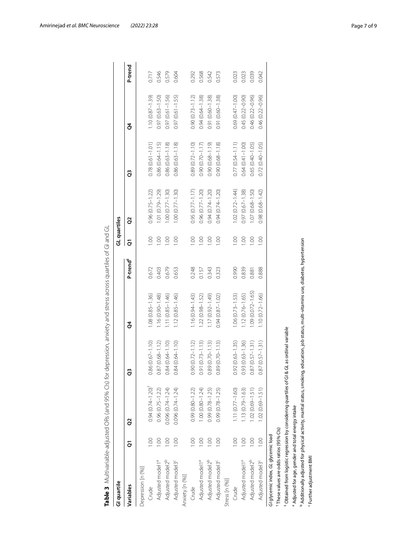<span id="page-6-0"></span>

| Gl quartile                                      |                 |                                                                                                                                         |                             |                      |                      | GL quartiles  |                     |                        |                     |         |
|--------------------------------------------------|-----------------|-----------------------------------------------------------------------------------------------------------------------------------------|-----------------------------|----------------------|----------------------|---------------|---------------------|------------------------|---------------------|---------|
| Variables                                        | ā               | S <sub>2</sub>                                                                                                                          | G                           | ð                    | P-trend <sup>#</sup> | ā             | S                   | G                      | ğ                   | P-trend |
| Depression [n (%)]                               |                 |                                                                                                                                         |                             |                      |                      |               |                     |                        |                     |         |
| Crude                                            | $\odot$         | $0.94(0.74 - 1.20)^{+}$                                                                                                                 | $0.86(0.67 - 1.10)$         | $1.08(0.85 - 1.36)$  | 0.672                | $\frac{8}{1}$ | $0.96(0.75 - 1.22)$ | $0.78$ $(0.61 - 1.01)$ | $1.10(0.87 - 1.39)$ | 0.717   |
| Adjusted model1 <sup>a</sup>                     | SC.             | $0.96(0.75 - 1.22)$                                                                                                                     | $0.87(0.68 - 1.12)$         | $1.16(0.90 - 1.48)$  | 0.403                | 1.00          | $.01(0.79 - 1.29)$  | $0.86(0.64 - 1.15)$    | $0.97(0.63 - 1.50)$ | 0.546   |
| Adjusted model2 <sup>b</sup>                     | O.              | 0.096 (0.74-1.24)                                                                                                                       | $0.84(0.64 - 1.10)$         | $1.11(0.85 - 1.46)$  | 0.679                | 1.00          | $.00(0.77 - 1.30)$  | $0.86(0.63 - 1.18)$    | $0.97(0.61 - 1.56)$ | 0.579   |
| Adjusted model3 <sup>c</sup>                     | 0.00            | $0.096(0.74 - 1.24)$                                                                                                                    | $0.84(0.64 - 1.10)$         | $1.12(0.85 - 1.46)$  | 0.653                | 0.00          | $.00(0.77 - 1.30)$  | $0.86(0.63 - 1.18)$    | $0.97(0.61 - 1.55)$ | 0.604   |
| Anxiety [n (%)]                                  |                 |                                                                                                                                         |                             |                      |                      |               |                     |                        |                     |         |
| Crude                                            | $\circ$         | 0.99 (0.80-1.22)                                                                                                                        | $0.90(0.72 - 1.12)$         | $1.16(0.94 - 1.43)$  | 0.248                | $\odot$       | $0.95(0.77 - 1.17)$ | $0.89(0.72 - 1.10)$    | $0.90(0.73 - 1.12)$ | 0.292   |
| Adjusted model1 <sup>a</sup>                     | 00.1            | $.00(0.80 - 1.24)$                                                                                                                      | $0.91(0.73 - 1.13)$         | $.22(0.98 - 1.52)$   | 0.157                | 0.00          | 0.96 (0.77-1.20)    | $0.90(0.70 - 1.17)$    | $0.94(0.64 - 1.38)$ | 0.568   |
| Adjusted model2 <sup>b</sup>                     | 00.1            | 0.99 (0.78-1.25)                                                                                                                        | $0.89(0.70 - 1.13)$         | $1.17(0.92 - 1.49)$  | 0.343                | 1.00          | 0.94 (0.74-1.20)    | $0.90(0.68 - 1.19)$    | $0.91(0.60 - 1.38)$ | 0.542   |
| Adjusted model3 <sup>c</sup>                     | 1.00            | $0.99(0.78 - 1.25)$                                                                                                                     | $0.89(0.70 - 1.13)$         | $0.94(0.87 - 1.02)$  | 0.323                | 00.1          | $0.94(0.74 - 1.20)$ | $0.90(0.68 - 1.18)$    | $0.91(0.60 - 1.38)$ | 0.573   |
| Stress [n (%)]                                   |                 |                                                                                                                                         |                             |                      |                      |               |                     |                        |                     |         |
| Crude                                            | OO.             | $1.11(0.77 - 1.60)$                                                                                                                     | $0.92(0.63 - 1.35)$         | $1.06(0.73 - 1.53)$  | 0.990                | 00.1          | $1.02(0.72 - 1.44)$ | $0.77(0.54 - 1.11)$    | $0.69(0.47 - 1.00)$ | 0.023   |
| Adjusted model1 <sup>a</sup>                     | 1.00            | $.13(0.79 - 1.63)$                                                                                                                      | $0.93(0.63 - 1.36)$         | $1.12(0.76 - 1.65)$  | 0.839                | 0.00          | $0.97(0.67 - 1.38)$ | $0.64(0.41 - 1.00)$    | $0.45(0.22 - 0.90)$ | 0.023   |
| Adjusted model2 <sup>b</sup>                     | 00.1            | $1.02(0.69 - 1.51)$                                                                                                                     | $0.87(0.57 - 1.31)$         | $1.09(0.072 - 1.65)$ | 0.881                | 1.00          | $1.07(0.68 - 1.50)$ | 0.65 (0.40-1.05)       | $0.46(0.22 - 0.96)$ | 0.039   |
| Adjusted model3 <sup>c</sup>                     | $\frac{8}{100}$ | $1.02(0.69 - 1.51)$                                                                                                                     | $0.87(0.57 - 1.31)$         | 1.10 (0.72-1.66)     | 0.888                | 0.00          | $0.98(0.68 - 1.42)$ | $0.72(0.40 - 1.05)$    | $0.46(0.22 - 0.96)$ | 0.042   |
| G/ glycemic index, GL glycemic load              |                 |                                                                                                                                         |                             |                      |                      |               |                     |                        |                     |         |
| These values are odds ratios (95% Cls)           |                 |                                                                                                                                         |                             |                      |                      |               |                     |                        |                     |         |
|                                                  |                 | Obtained from logistic regression by considering quartiles of                                                                           | GI & GL as ordinal variable |                      |                      |               |                     |                        |                     |         |
| Adjusted for age, gender and total energy intake |                 |                                                                                                                                         |                             |                      |                      |               |                     |                        |                     |         |
|                                                  |                 | Additionally adjusted for physical activity, marital status, smoking, education, job status, multi-vitamins use, diabetes, hypertension |                             |                      |                      |               |                     |                        |                     |         |
| Further adjustment BMI                           |                 |                                                                                                                                         |                             |                      |                      |               |                     |                        |                     |         |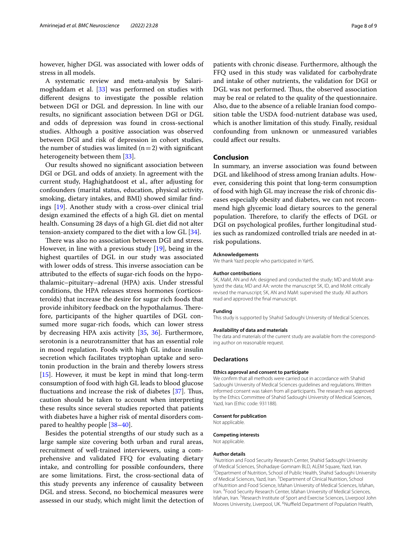however, higher DGL was associated with lower odds of stress in all models.

A systematic review and meta-analysis by Salarimoghaddam et al. [[33](#page-8-28)] was performed on studies with diferent designs to investigate the possible relation between DGI or DGL and depression. In line with our results, no signifcant association between DGI or DGL and odds of depression was found in cross-sectional studies. Although a positive association was observed between DGI and risk of depression in cohort studies, the number of studies was limited  $(n=2)$  with significant heterogeneity between them [\[33](#page-8-28)].

Our results showed no signifcant association between DGI or DGL and odds of anxiety. In agreement with the current study, Haghighatdoost et al., after adjusting for confounders (marital status, education, physical activity, smoking, dietary intakes, and BMI) showed similar fndings [\[19](#page-8-17)]. Another study with a cross-over clinical trial design examined the efects of a high GL diet on mental health. Consuming 28 days of a high GL diet did not alter tension-anxiety compared to the diet with a low GL [\[34\]](#page-8-29).

There was also no association between DGI and stress. However, in line with a previous study [[19](#page-8-17)], being in the highest quartiles of DGL in our study was associated with lower odds of stress. This inverse association can be attributed to the efects of sugar-rich foods on the hypothalamic–pituitary–adrenal (HPA) axis. Under stressful conditions, the HPA releases stress hormones (corticosteroids) that increase the desire for sugar rich foods that provide inhibitory feedback on the hypothalamus. Therefore, participants of the higher quartiles of DGL consumed more sugar-rich foods, which can lower stress by decreasing HPA axis activity [[35,](#page-8-30) [36](#page-8-31)]. Furthermore, serotonin is a neurotransmitter that has an essential role in mood regulation. Foods with high GL induce insulin secretion which facilitates tryptophan uptake and serotonin production in the brain and thereby lowers stress [[15\]](#page-8-13). However, it must be kept in mind that long-term consumption of food with high GL leads to blood glucose fluctuations and increase the risk of diabetes [[37](#page-8-32)]. Thus, caution should be taken to account when interpreting these results since several studies reported that patients with diabetes have a higher risk of mental disorders compared to healthy people [\[38–](#page-8-33)[40\]](#page-8-34).

Besides the potential strengths of our study such as a large sample size covering both urban and rural areas, recruitment of well-trained interviewers, using a comprehensive and validated FFQ for evaluating dietary intake, and controlling for possible confounders, there are some limitations. First, the cross-sectional data of this study prevents any inference of causality between DGL and stress. Second, no biochemical measures were assessed in our study, which might limit the detection of patients with chronic disease. Furthermore, although the FFQ used in this study was validated for carbohydrate and intake of other nutrients, the validation for DGI or DGL was not performed. Thus, the observed association may be real or related to the quality of the questionnaire. Also, due to the absence of a reliable Iranian food composition table the USDA food-nutrient database was used, which is another limitation of this study. Finally, residual confounding from unknown or unmeasured variables could afect our results.

# **Conclusion**

In summary, an inverse association was found between DGL and likelihood of stress among Iranian adults. However, considering this point that long-term consumption of food with high GL may increase the risk of chronic diseases especially obesity and diabetes, we can not recommend high glycemic load dietary sources to the general population. Therefore, to clarify the effects of DGL or DGI on psychological profles, further longitudinal studies such as randomized controlled trials are needed in atrisk populations.

#### **Acknowledgements**

We thank Yazd people who participated in YaHS.

#### **Author contributions**

SK, MaM, AN and AA: designed and conducted the study; MD and MoM: analyzed the data; MD and AA: wrote the manuscript SK, ID, and MoM: critically revised the manuscript; SK, AN and MaM: supervised the study. All authors read and approved the fnal manuscript.

#### **Funding**

This study is supported by Shahid Sadoughi University of Medical Sciences.

#### **Availability of data and materials**

The data and materials of the current study are available from the corresponding author on reasonable request.

#### **Declarations**

#### **Ethics approval and consent to participate**

We confirm that all methods were carried out in accordance with Shahid Sadoughi University of Medical Sciences guidelines and regulations. Written informed consent was taken from all participants. The research was approved by the Ethics Committee of Shahid Sadoughi University of Medical Sciences, Yazd, Iran (Ethic code: 931188).

# **Consent for publication**

Not applicable.

#### **Competing interests**

Not applicable.

#### **Author details**

<sup>1</sup> Nutrition and Food Security Research Center, Shahid Sadoughi University of Medical Sciences, Shohadaye Gomnam BLD, ALEM Square, Yazd, Iran. 2 <sup>2</sup> Department of Nutrition, School of Public Health, Shahid Sadoughi University of Medical Sciences, Yazd, Iran. <sup>3</sup> Department of Clinical Nutrition, School of Nutrition and Food Science, Isfahan University of Medical Sciences, Isfahan, Iran. <sup>4</sup> Food Security Research Center, Isfahan University of Medical Sciences, Isfahan, Iran. <sup>5</sup> Research Institute of Sport and Exercise Sciences, Liverpool John Moores University, Liverpool, UK. <sup>6</sup>Nuffield Department of Population Health,